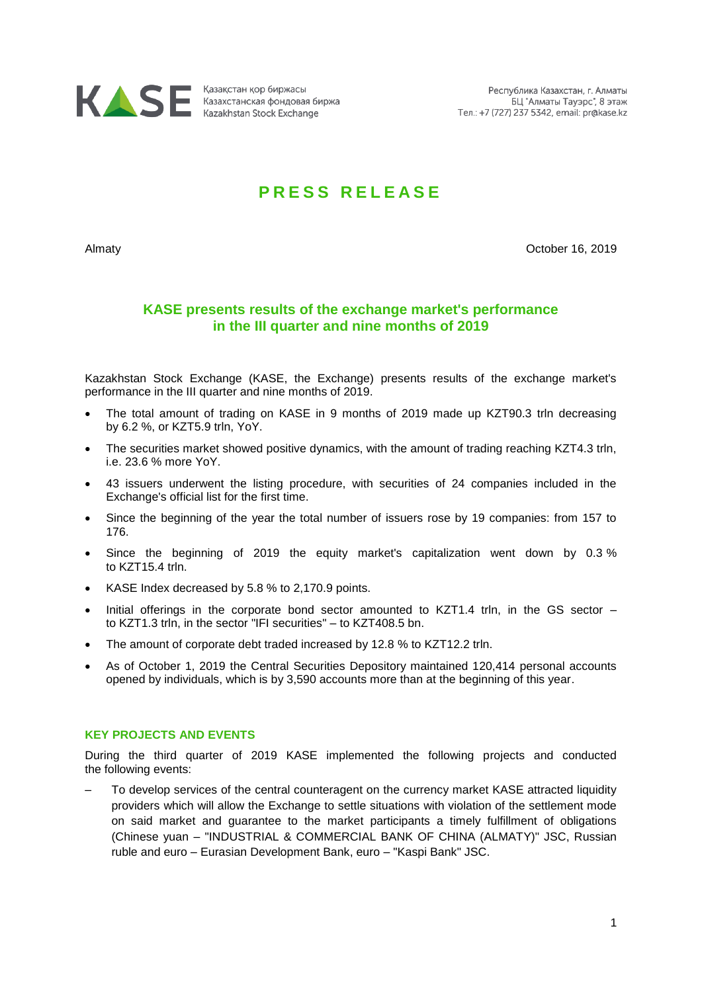

# **P R E S S R E L E A S E**

Almaty October 16, 2019

## **KASE presents results of the exchange market's performance in the III quarter and nine months of 2019**

Kazakhstan Stock Exchange (KASE, the Exchange) presents results of the exchange market's performance in the III quarter and nine months of 2019.

- The total amount of trading on KASE in 9 months of 2019 made up KZT90.3 trln decreasing by 6.2 %, or KZT5.9 trln, YoY.
- The securities market showed positive dynamics, with the amount of trading reaching KZT4.3 trln, i.e. 23.6 % more YoY.
- 43 issuers underwent the listing procedure, with securities of 24 companies included in the Exchange's official list for the first time.
- Since the beginning of the year the total number of issuers rose by 19 companies: from 157 to 176.
- Since the beginning of 2019 the equity market's capitalization went down by 0.3 % to KZT15.4 trln.
- KASE Index decreased by 5.8 % to 2,170.9 points.
- Initial offerings in the corporate bond sector amounted to KZT1.4 trln, in the GS sector to KZT1.3 trln, in the sector "IFI securities" – to KZT408.5 bn.
- The amount of corporate debt traded increased by 12.8 % to KZT12.2 trln.
- As of October 1, 2019 the Central Securities Depository maintained 120,414 personal accounts opened by individuals, which is by 3,590 accounts more than at the beginning of this year.

## **KEY PROJECTS AND EVENTS**

During the third quarter of 2019 KASE implemented the following projects and conducted the following events:

– To develop services of the central counteragent on the currency market KASE attracted liquidity providers which will allow the Exchange to settle situations with violation of the settlement mode on said market and guarantee to the market participants a timely fulfillment of obligations (Chinese yuan – "INDUSTRIAL & COMMERCIAL BANK OF CHINA (ALMATY)" JSC, Russian ruble and euro – Eurasian Development Bank, euro – "Kaspi Bank" JSC.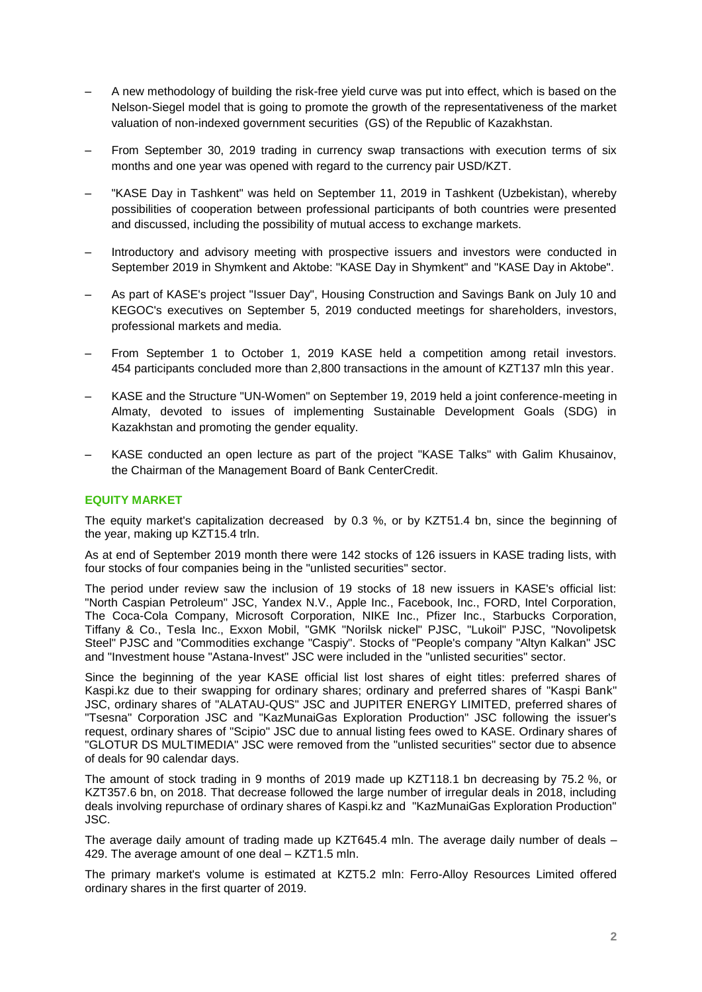- A new methodology of building the risk-free yield curve was put into effect, which is based on the Nelson-Siegel model that is going to promote the growth of the representativeness of the market valuation of non-indexed government securities (GS) of the Republic of Kazakhstan.
- From September 30, 2019 trading in currency swap transactions with execution terms of six months and one year was opened with regard to the currency pair USD/KZT.
- "KASE Day in Tashkent" was held on September 11, 2019 in Tashkent (Uzbekistan), whereby possibilities of cooperation between professional participants of both countries were presented and discussed, including the possibility of mutual access to exchange markets.
- Introductory and advisory meeting with prospective issuers and investors were conducted in September 2019 in Shymkent and Aktobe: "KASE Day in Shymkent" and "KASE Day in Aktobe".
- As part of KASE's project "Issuer Day", Housing Construction and Savings Bank on July 10 and KEGOC's executives on September 5, 2019 conducted meetings for shareholders, investors, professional markets and media.
- From September 1 to October 1, 2019 KASE held a competition among retail investors. 454 participants concluded more than 2,800 transactions in the amount of KZT137 mln this year.
- KASE and the Structure "UN-Women" on September 19, 2019 held a joint conference-meeting in Almaty, devoted to issues of implementing Sustainable Development Goals (SDG) in Kazakhstan and promoting the gender equality.
- KASE conducted an open lecture as part of the project "KASE Talks" with Galim Khusainov, the Chairman of the Management Board of Bank CenterCredit.

### **EQUITY MARKET**

The equity market's capitalization decreased by 0.3 %, or by KZT51.4 bn, since the beginning of the year, making up KZT15.4 trln.

As at end of September 2019 month there were 142 stocks of 126 issuers in KASE trading lists, with four stocks of four companies being in the "unlisted securities" sector.

The period under review saw the inclusion of 19 stocks of 18 new issuers in KASE's official list: "North Caspian Petroleum" JSC, Yandex N.V., Apple Inc., Facebook, Inc., FORD, Intel Corporation, The Coca-Cola Company, Microsoft Corporation, NIKE Inc., Pfizer Inc., Starbucks Corporation, Tiffany & Co., Tesla Inc., Exxon Mobil, "GMK "Norilsk nickel" PJSC, "Lukoil" PJSC, "Novolipetsk Steel" PJSC and "Commodities exchange "Caspiy". Stocks of "People's company "Altyn Kalkan" JSC and "Investment house "Astana-Invest" JSC were included in the "unlisted securities" sector.

Since the beginning of the year KASE official list lost shares of eight titles: preferred shares of Kaspi.kz due to their swapping for ordinary shares; ordinary and preferred shares of "Kaspi Bank" JSC, ordinary shares of "ALATAU-QUS" JSC and JUPITER ENERGY LIMITED, preferred shares of "Tsesna" Corporation JSC and "KazMunaiGas Exploration Production" JSC following the issuer's request, ordinary shares of "Scipio" JSC due to annual listing fees owed to KASE. Ordinary shares of "GLOTUR DS MULTIMEDIA" JSC were removed from the "unlisted securities" sector due to absence of deals for 90 calendar days.

The amount of stock trading in 9 months of 2019 made up KZT118.1 bn decreasing by 75.2 %, or KZT357.6 bn, on 2018. That decrease followed the large number of irregular deals in 2018, including deals involving repurchase of ordinary shares of Kaspi.kz and "KazMunaiGas Exploration Production" JSC.

The average daily amount of trading made up KZT645.4 mln. The average daily number of deals – 429. The average amount of one deal – KZT1.5 mln.

The primary market's volume is estimated at KZT5.2 mln: Ferro-Alloy Resources Limited offered ordinary shares in the first quarter of 2019.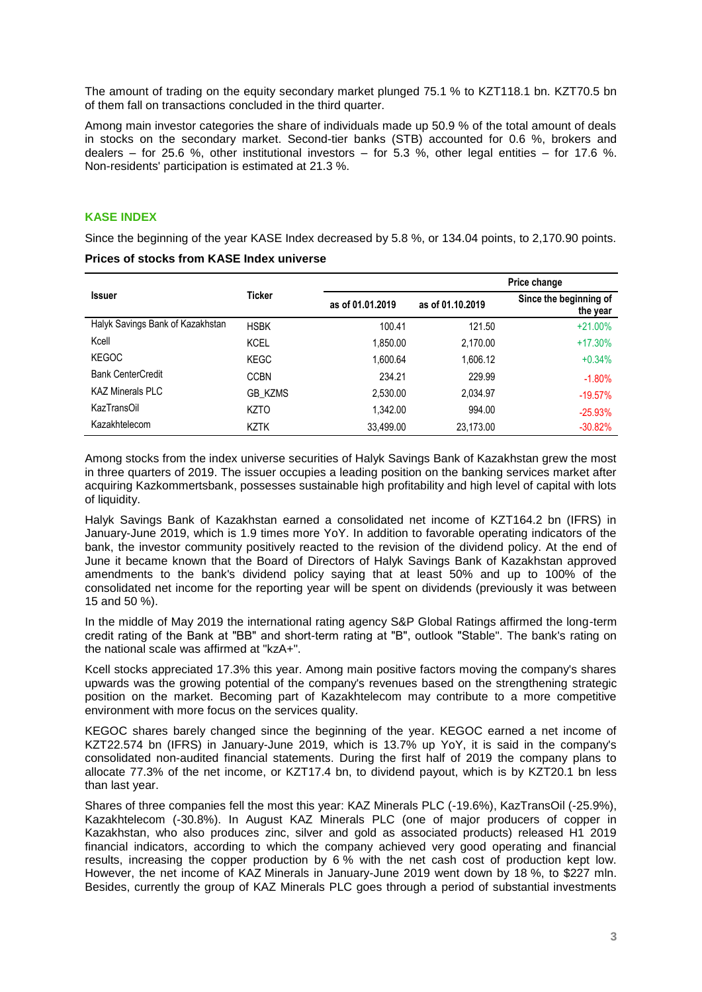The amount of trading on the equity secondary market plunged 75.1 % to KZT118.1 bn. KZT70.5 bn of them fall on transactions concluded in the third quarter.

Among main investor categories the share of individuals made up 50.9 % of the total amount of deals in stocks on the secondary market. Second-tier banks (STB) accounted for 0.6 %, brokers and dealers – for 25.6 %, other institutional investors – for 5.3 %, other legal entities – for 17.6 %. Non-residents' participation is estimated at 21.3 %.

## **KASE INDEX**

Since the beginning of the year KASE Index decreased by 5.8 %, or 134.04 points, to 2,170.90 points.

| <b>Issuer</b>                    | Ticker         | Price change     |                  |                                    |
|----------------------------------|----------------|------------------|------------------|------------------------------------|
|                                  |                | as of 01.01.2019 | as of 01.10.2019 | Since the beginning of<br>the year |
| Halyk Savings Bank of Kazakhstan | <b>HSBK</b>    | 100.41           | 121.50           | $+21.00%$                          |
| Kcell                            | <b>KCEL</b>    | 1.850.00         | 2.170.00         | $+17.30%$                          |
| <b>KEGOC</b>                     | KEGC           | 1.600.64         | 1.606.12         | $+0.34%$                           |
| <b>Bank CenterCredit</b>         | <b>CCBN</b>    | 234.21           | 229.99           | $-1.80%$                           |
| KAZ Minerals PLC                 | <b>GB KZMS</b> | 2.530.00         | 2.034.97         | $-19.57%$                          |
| KazTransOil                      | <b>KZTO</b>    | 1.342.00         | 994.00           | $-25.93%$                          |
| Kazakhtelecom                    | <b>KZTK</b>    | 33,499.00        | 23,173.00        | $-30.82\%$                         |

**Prices of stocks from KASE Index universe** 

Among stocks from the index universe securities of Halyk Savings Bank of Kazakhstan grew the most in three quarters of 2019. The issuer occupies a leading position on the banking services market after acquiring Kazkommertsbank, possesses sustainable high profitability and high level of capital with lots of liquidity.

Halyk Savings Bank of Kazakhstan earned a consolidated net income of KZT164.2 bn (IFRS) in January-June 2019, which is 1.9 times more YoY. In addition to favorable operating indicators of the bank, the investor community positively reacted to the revision of the dividend policy. At the end of June it became known that the Board of Directors of Halyk Savings Bank of Kazakhstan approved amendments to the bank's dividend policy saying that at least 50% and up to 100% of the consolidated net income for the reporting year will be spent on dividends (previously it was between 15 and 50 %).

In the middle of May 2019 the international rating agency S&P Global Ratings affirmed the long-term credit rating of the Bank at "BB" and short-term rating at "B", outlook "Stable". The bank's rating on the national scale was affirmed at "kzA+".

Kcell stocks appreciated 17.3% this year. Among main positive factors moving the company's shares upwards was the growing potential of the company's revenues based on the strengthening strategic position on the market. Becoming part of Kazakhtelecom may contribute to a more competitive environment with more focus on the services quality.

KEGOC shares barely changed since the beginning of the year. KEGOC earned a net income of KZT22.574 bn (IFRS) in January-June 2019, which is 13.7% up YoY, it is said in the company's consolidated non-audited financial statements. During the first half of 2019 the company plans to allocate 77.3% of the net income, or KZT17.4 bn, to dividend payout, which is by KZT20.1 bn less than last year.

Shares of three companies fell the most this year: KAZ Minerals PLC (-19.6%), KazTransOil (-25.9%), Kazakhtelecom (-30.8%). In August KAZ Minerals PLC (one of major producers of copper in Kazakhstan, who also produces zinc, silver and gold as associated products) released H1 2019 financial indicators, according to which the company achieved very good operating and financial results, increasing the copper production by 6 % with the net cash cost of production kept low. However, the net income of KAZ Minerals in January-June 2019 went down by 18 %, to \$227 mln. Besides, currently the group of KAZ Minerals PLC goes through a period of substantial investments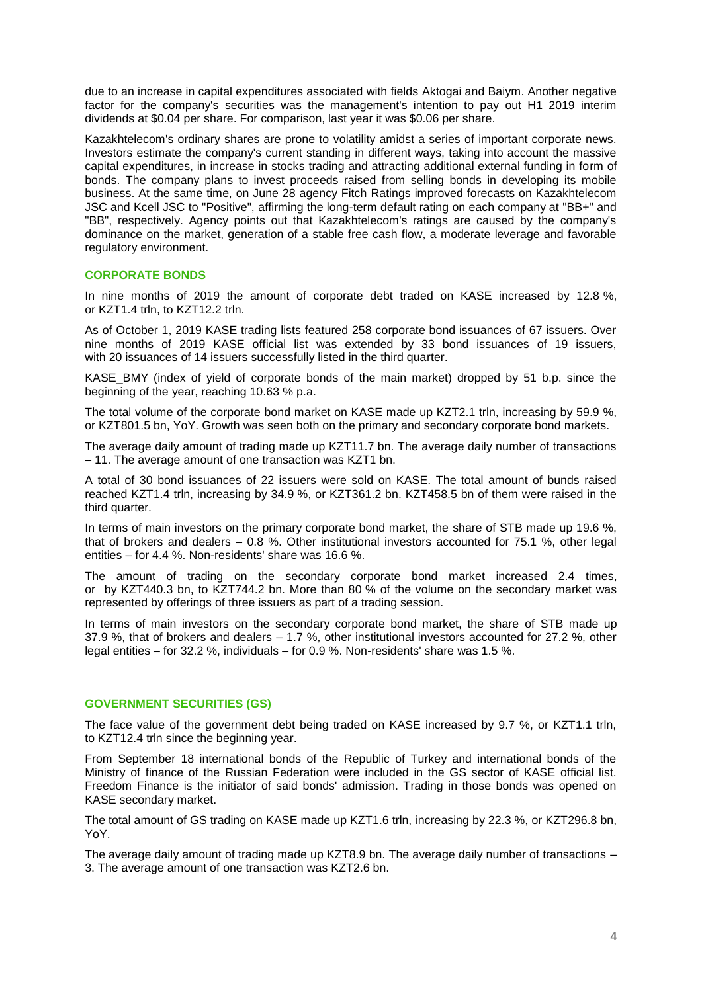due to an increase in capital expenditures associated with fields Aktogai and Baiym. Another negative factor for the company's securities was the management's intention to pay out H1 2019 interim dividends at \$0.04 per share. For comparison, last year it was \$0.06 per share.

Kazakhtelecom's ordinary shares are prone to volatility amidst a series of important corporate news. Investors estimate the company's current standing in different ways, taking into account the massive capital expenditures, in increase in stocks trading and attracting additional external funding in form of bonds. The company plans to invest proceeds raised from selling bonds in developing its mobile business. At the same time, on June 28 agency Fitch Ratings improved forecasts on Kazakhtelecom JSC and Kcell JSC to "Positive", affirming the long-term default rating on each company at "BB+" and "BB", respectively. Agency points out that Kazakhtelecom's ratings are caused by the company's dominance on the market, generation of a stable free cash flow, a moderate leverage and favorable regulatory environment.

#### **CORPORATE BONDS**

In nine months of 2019 the amount of corporate debt traded on KASE increased by 12.8 %, or KZT1.4 trln, to KZT12.2 trln.

As of October 1, 2019 KASE trading lists featured 258 corporate bond issuances of 67 issuers. Over nine months of 2019 KASE official list was extended by 33 bond issuances of 19 issuers, with 20 issuances of 14 issuers successfully listed in the third quarter.

KASE\_BMY (index of yield of corporate bonds of the main market) dropped by 51 b.p. since the beginning of the year, reaching 10.63 % p.a.

The total volume of the corporate bond market on KASE made up KZT2.1 trln, increasing by 59.9 %, or KZT801.5 bn, YoY. Growth was seen both on the primary and secondary corporate bond markets.

The average daily amount of trading made up KZT11.7 bn. The average daily number of transactions – 11. The average amount of one transaction was KZT1 bn.

A total of 30 bond issuances of 22 issuers were sold on KASE. The total amount of bunds raised reached KZT1.4 trln, increasing by 34.9 %, or KZT361.2 bn. KZT458.5 bn of them were raised in the third quarter.

In terms of main investors on the primary corporate bond market, the share of STB made up 19.6 %, that of brokers and dealers – 0.8 %. Other institutional investors accounted for 75.1 %, other legal entities – for 4.4 %. Non-residents' share was 16.6 %.

The amount of trading on the secondary corporate bond market increased 2.4 times, or by KZT440.3 bn, to KZT744.2 bn. More than 80 % of the volume on the secondary market was represented by offerings of three issuers as part of a trading session.

In terms of main investors on the secondary corporate bond market, the share of STB made up 37.9 %, that of brokers and dealers – 1.7 %, other institutional investors accounted for 27.2 %, other legal entities – for 32.2 %, individuals – for 0.9 %. Non-residents' share was 1.5 %.

## **GOVERNMENT SECURITIES (GS)**

The face value of the government debt being traded on KASE increased by 9.7 %, or KZT1.1 trln, to KZT12.4 trln since the beginning year.

From September 18 international bonds of the Republic of Turkey and international bonds of the Ministry of finance of the Russian Federation were included in the GS sector of KASE official list. Freedom Finance is the initiator of said bonds' admission. Trading in those bonds was opened on KASE secondary market.

The total amount of GS trading on KASE made up KZT1.6 trln, increasing by 22.3 %, or KZT296.8 bn, YoY.

The average daily amount of trading made up KZT8.9 bn. The average daily number of transactions – 3. The average amount of one transaction was KZT2.6 bn.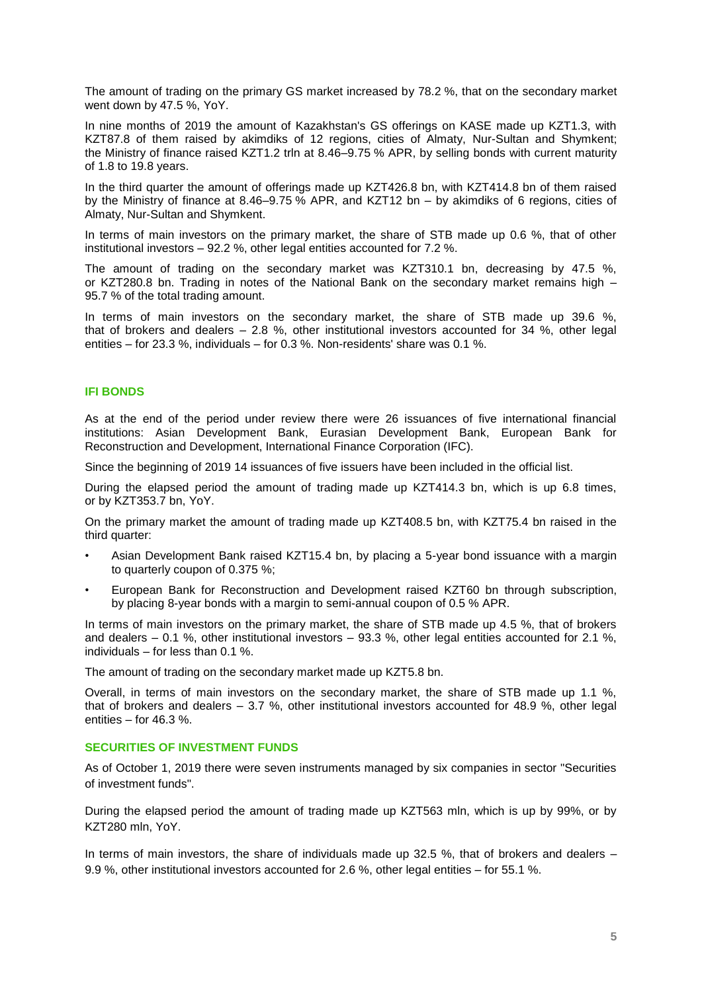The amount of trading on the primary GS market increased by 78.2 %, that on the secondary market went down by 47.5 %, YoY.

In nine months of 2019 the amount of Kazakhstan's GS offerings on KASE made up KZT1.3, with KZT87.8 of them raised by akimdiks of 12 regions, cities of Almaty, Nur-Sultan and Shymkent; the Ministry of finance raised KZT1.2 trln at 8.46–9.75 % APR, by selling bonds with current maturity of 1.8 to 19.8 years.

In the third quarter the amount of offerings made up KZT426.8 bn, with KZT414.8 bn of them raised by the Ministry of finance at 8.46–9.75 % APR, and KZT12 bn – by akimdiks of 6 regions, cities of Almaty, Nur-Sultan and Shymkent.

In terms of main investors on the primary market, the share of STB made up 0.6 %, that of other institutional investors – 92.2 %, other legal entities accounted for 7.2 %.

The amount of trading on the secondary market was KZT310.1 bn, decreasing by 47.5 %, or KZT280.8 bn. Trading in notes of the National Bank on the secondary market remains high – 95.7 % of the total trading amount.

In terms of main investors on the secondary market, the share of STB made up 39.6 %, that of brokers and dealers  $-2.8$  %, other institutional investors accounted for 34 %, other legal entities – for 23.3 %, individuals – for 0.3 %. Non-residents' share was 0.1 %.

### **IFI BONDS**

As at the end of the period under review there were 26 issuances of five international financial institutions: Asian Development Bank, Eurasian Development Bank, European Bank for Reconstruction and Development, International Finance Corporation (IFC).

Since the beginning of 2019 14 issuances of five issuers have been included in the official list.

During the elapsed period the amount of trading made up KZT414.3 bn, which is up 6.8 times, or by KZT353.7 bn, YoY.

On the primary market the amount of trading made up KZT408.5 bn, with KZT75.4 bn raised in the third quarter:

- Asian Development Bank raised KZT15.4 bn, by placing a 5-year bond issuance with a margin to quarterly coupon of 0.375 %;
- European Bank for Reconstruction and Development raised KZT60 bn through subscription, by placing 8-year bonds with a margin to semi-annual coupon of 0.5 % APR.

In terms of main investors on the primary market, the share of STB made up 4.5 %, that of brokers and dealers  $-0.1$  %, other institutional investors  $-93.3$  %, other legal entities accounted for 2.1 %, individuals – for less than 0.1 %.

The amount of trading on the secondary market made up KZT5.8 bn.

Overall, in terms of main investors on the secondary market, the share of STB made up 1.1 %, that of brokers and dealers – 3.7 %, other institutional investors accounted for 48.9 %, other legal entities – for 46.3 %.

## **SECURITIES OF INVESTMENT FUNDS**

As of October 1, 2019 there were seven instruments managed by six companies in sector "Securities of investment funds".

During the elapsed period the amount of trading made up KZT563 mln, which is up by 99%, or by KZT280 mln, YoY.

In terms of main investors, the share of individuals made up 32.5 %, that of brokers and dealers – 9.9 %, other institutional investors accounted for 2.6 %, other legal entities – for 55.1 %.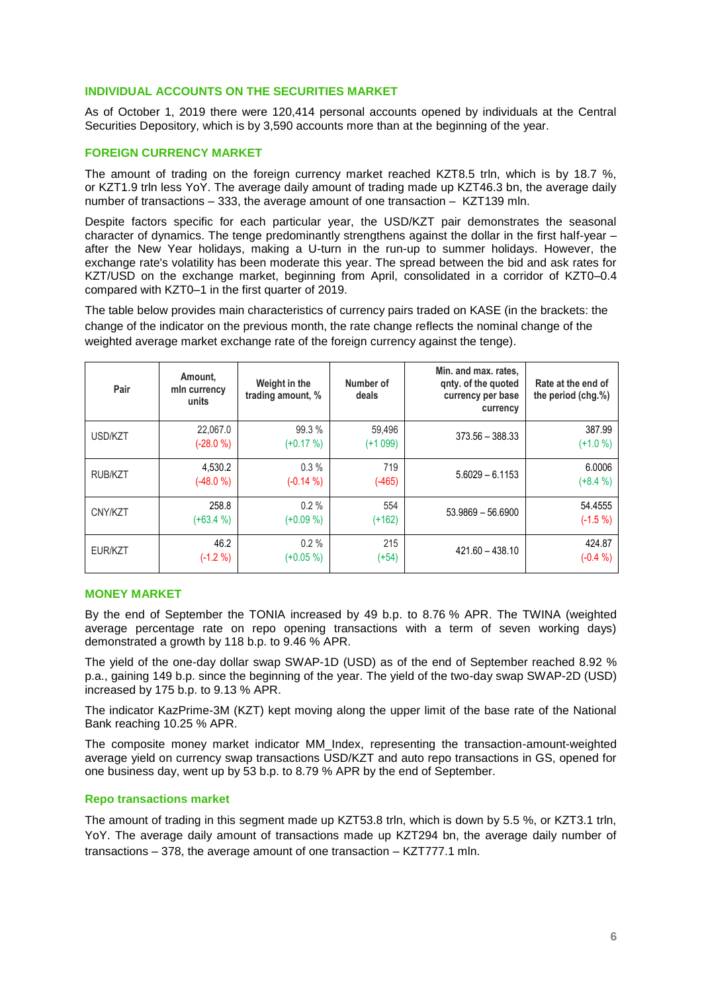#### **INDIVIDUAL ACCOUNTS ON THE SECURITIES MARKET**

As of October 1, 2019 there were 120,414 personal accounts opened by individuals at the Central Securities Depository, which is by 3,590 accounts more than at the beginning of the year.

## **FOREIGN CURRENCY MARKET**

The amount of trading on the foreign currency market reached KZT8.5 trln, which is by 18.7 %, or KZT1.9 trln less YoY. The average daily amount of trading made up KZT46.3 bn, the average daily number of transactions – 333, the average amount of one transaction – KZT139 mln.

Despite factors specific for each particular year, the USD/KZT pair demonstrates the seasonal character of dynamics. The tenge predominantly strengthens against the dollar in the first half-year – after the New Year holidays, making a U-turn in the run-up to summer holidays. However, the exchange rate's volatility has been moderate this year. The spread between the bid and ask rates for KZT/USD on the exchange market, beginning from April, consolidated in a corridor of KZT0–0.4 compared with KZT0–1 in the first quarter of 2019.

The table below provides main characteristics of currency pairs traded on KASE (in the brackets: the change of the indicator on the previous month, the rate change reflects the nominal change of the weighted average market exchange rate of the foreign currency against the tenge).

| Pair           | Amount.<br>mln currency<br>units | Weight in the<br>trading amount, % | Number of<br>deals  | Min. and max. rates,<br>gnty. of the guoted<br>currency per base<br>currency | Rate at the end of<br>the period (chg.%) |
|----------------|----------------------------------|------------------------------------|---------------------|------------------------------------------------------------------------------|------------------------------------------|
| USD/KZT        | 22,067.0<br>$(-28.0 %)$          | 99.3 %<br>$(+0.17%)$               | 59,496<br>$(+1099)$ | $373.56 - 388.33$                                                            | 387.99<br>$(+1.0 %)$                     |
| <b>RUB/KZT</b> | 4,530.2<br>$(-48.0%$             | 0.3%<br>$(-0.14\% )$               | 719<br>$(-465)$     | $5.6029 - 6.1153$                                                            | 6.0006<br>$(+8.4\%)$                     |
| CNY/KZT        | 258.8<br>$(+63.4\%)$             | 0.2%<br>$(+0.09\%)$                | 554<br>(+162)       | $53.9869 - 56.6900$                                                          | 54.4555<br>$(-1.5 %)$                    |
| EUR/KZT        | 46.2<br>$(-1.2 %)$               | $0.2 \%$<br>$(+0.05\%)$            | 215<br>$(+54)$      | $421.60 - 438.10$                                                            | 424.87<br>$(-0.4 %)$                     |

## **MONEY MARKET**

By the end of September the TONIA increased by 49 b.p. to 8.76 % APR. The TWINA (weighted average percentage rate on repo opening transactions with a term of seven working days) demonstrated a growth by 118 b.p. to 9.46 % APR.

The yield of the one-day dollar swap SWAP-1D (USD) as of the end of September reached 8.92 % p.a., gaining 149 b.p. since the beginning of the year. The yield of the two-day swap SWAP-2D (USD) increased by 175 b.p. to 9.13 % APR.

The indicator KazPrime-3M (KZT) kept moving along the upper limit of the base rate of the National Bank reaching 10.25 % APR.

The composite money market indicator MM\_Index, representing the transaction-amount-weighted average yield on currency swap transactions USD/KZT and auto repo transactions in GS, opened for one business day, went up by 53 b.p. to 8.79 % APR by the end of September.

#### **Repo transactions market**

The amount of trading in this segment made up KZT53.8 trln, which is down by 5.5 %, or KZT3.1 trln, YoY. The average daily amount of transactions made up KZT294 bn, the average daily number of transactions – 378, the average amount of one transaction – KZT777.1 mln.